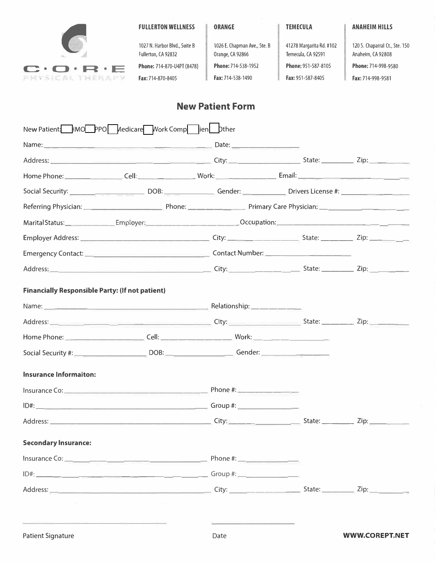

t1 **Fax:** 714-870-8405 **Fax:** 714-538-1490 **Fax:** 951-587-8405 **Fax:** 714-998-9581

1027 N. Harbor Blvd., Suite B 1026 E. Chapman Ave., Ste. B 41278 Margarita Rd. #102 120 S. Chaparral Ct., Ste. 150 Fullerton, CA 92832 Orange, CA 92866 Temecula, CA 92591 Anaheim, CA 92808

# **New Patient Form**

| New Patient: HMO PPO Medicare Work Comp lien Dther                                        |                |                                                                                                                      |                       |
|-------------------------------------------------------------------------------------------|----------------|----------------------------------------------------------------------------------------------------------------------|-----------------------|
|                                                                                           |                |                                                                                                                      |                       |
|                                                                                           |                |                                                                                                                      |                       |
|                                                                                           |                |                                                                                                                      |                       |
|                                                                                           |                |                                                                                                                      |                       |
|                                                                                           |                |                                                                                                                      |                       |
|                                                                                           |                | Marital Status: ________________Employer: ______________________________Occupation: ________________________________ |                       |
|                                                                                           |                |                                                                                                                      |                       |
|                                                                                           |                |                                                                                                                      |                       |
|                                                                                           |                |                                                                                                                      |                       |
| <b>Financially Responsible Party: (If not patient)</b>                                    |                |                                                                                                                      |                       |
|                                                                                           |                |                                                                                                                      |                       |
|                                                                                           |                |                                                                                                                      |                       |
|                                                                                           |                |                                                                                                                      |                       |
|                                                                                           |                | Social Security #: ____________________________DOB: ________________________Gender: ________________                 |                       |
|                                                                                           |                |                                                                                                                      |                       |
| <b>Insurance Informaiton:</b>                                                             |                |                                                                                                                      |                       |
|                                                                                           |                |                                                                                                                      |                       |
|                                                                                           |                |                                                                                                                      |                       |
|                                                                                           |                |                                                                                                                      |                       |
| <b>Secondary Insurance:</b>                                                               |                |                                                                                                                      |                       |
|                                                                                           |                |                                                                                                                      |                       |
|                                                                                           |                |                                                                                                                      |                       |
|                                                                                           |                | Address: 2008. 2010. 2010. 2010. 2010. 2010. 2010. 2010. 2010. 2010. 2010. 2010. 2010. 2010. 2010. 2010. 2010.       |                       |
|                                                                                           | $\sim 10^{-1}$ |                                                                                                                      |                       |
| the control of the control of the control of the control of the control of the control of |                | the control of the control of the control of                                                                         |                       |
| <b>Patient Signature</b>                                                                  |                | Date                                                                                                                 | <b>WWW.COREPT.NET</b> |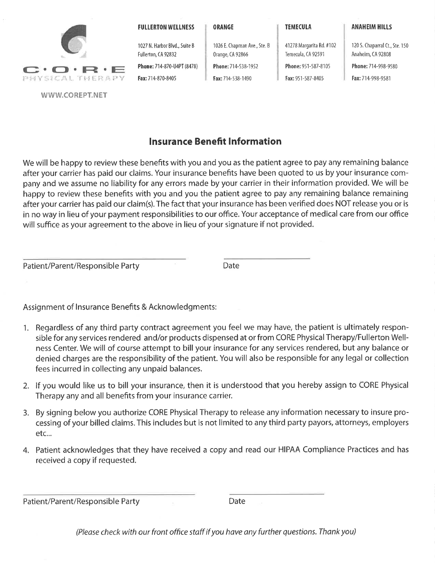

#### **FULLERTON WELLNESS**

1027 N. Harbor Blvd., Suite B

Phone: 714-870-U4PT (8478)

Fullerton, CA 92832

Fax: 714-870-8405

ORANGE

Orange, CA 92866

Phone: 714-538-1952

Fax: 714-538-1490

1026 E. Chapman Ave., Ste. B

41278 Margarita Rd. #102 Temecula, CA 92591 Phone: 951-587-8105 Fax: 951-587-8405

120 S. Chaparral Ct., Ste. 150 Anaheim, CA 92808 Phone: 714-998-9580 Fax: 714-998-9581

**ANAHEIM HILLS** 

### **Insurance Benefit Information**

We will be happy to review these benefits with you and you as the patient agree to pay any remaining balance after your carrier has paid our claims. Your insurance benefits have been quoted to us by your insurance company and we assume no liability for any errors made by your carrier in their information provided. We will be happy to review these benefits with you and you the patient agree to pay any remaining balance remaining after your carrier has paid our claim(s). The fact that your insurance has been verified does NOT release you or is in no way in lieu of your payment responsibilities to our office. Your acceptance of medical care from our office will suffice as your agreement to the above in lieu of your signature if not provided.

Patient/Parent/Responsible Party

Date

Assignment of Insurance Benefits & Acknowledgments:

- 1. Regardless of any third party contract agreement you feel we may have, the patient is ultimately responsible for any services rendered and/or products dispensed at or from CORE Physical Therapy/Fullerton Wellness Center. We will of course attempt to bill your insurance for any services rendered, but any balance or denied charges are the responsibility of the patient. You will also be responsible for any legal or collection fees incurred in collecting any unpaid balances.
- 2. If you would like us to bill your insurance, then it is understood that you hereby assign to CORE Physical Therapy any and all benefits from your insurance carrier.
- 3. By signing below you authorize CORE Physical Therapy to release any information necessary to insure processing of your billed claims. This includes but is not limited to any third party payors, attorneys, employers etc...
- 4. Patient acknowledges that they have received a copy and read our HIPAA Compliance Practices and has received a copy if requested.

|  |  | Patient/Parent/Responsible Party |
|--|--|----------------------------------|
|--|--|----------------------------------|

Date

(Please check with our front office staff if you have any further questions. Thank you)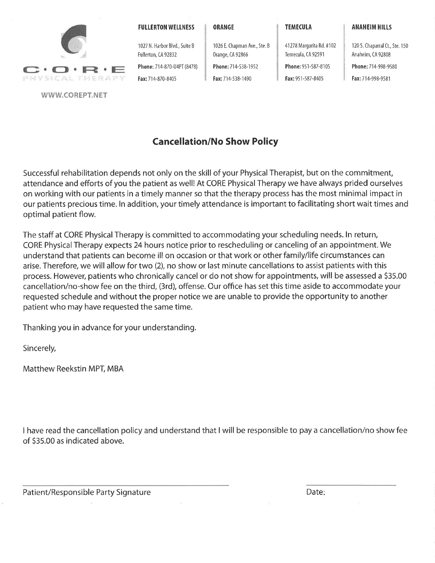

#### **FULLERTON WELLNESS**

1027 N. Harbor Blvd., Suite B

Phone: 714-870-U4PT (8478)

Fullerton, CA 92832

Fax: 714-870-8405

#### ORANGE

Orange, CA 92866

Phone: 714-538-1952

Fax: 714-538-1490

1026 E. Chapman Ave., Ste. B

**TEMECULA** 

41278 Margarita Rd. #102

Phone: 951-587-8105 Fax: 951-587-8405

Temecula, CA 92591

120 S. Chaparral Ct., Ste. 150 Anaheim, CA 92808 Phone: 714-998-9580 Fax: 714-998-9581

**ANAHEIM HILLS** 

# **Cancellation/No Show Policy**

Successful rehabilitation depends not only on the skill of your Physical Therapist, but on the commitment, attendance and efforts of you the patient as well! At CORE Physical Therapy we have always prided ourselves on working with our patients in a timely manner so that the therapy process has the most minimal impact in our patients precious time. In addition, your timely attendance is important to facilitating short wait times and optimal patient flow.

The staff at CORE Physical Therapy is committed to accommodating your scheduling needs. In return, CORE Physical Therapy expects 24 hours notice prior to rescheduling or canceling of an appointment. We understand that patients can become ill on occasion or that work or other family/life circumstances can arise. Therefore, we will allow for two (2), no show or last minute cancellations to assist patients with this process. However, patients who chronically cancel or do not show for appointments, will be assessed a \$35.00 cancellation/no-show fee on the third, (3rd), offense. Our office has set this time aside to accommodate your requested schedule and without the proper notice we are unable to provide the opportunity to another patient who may have requested the same time.

Thanking you in advance for your understanding.

Sincerely,

Matthew Reekstin MPT, MBA

I have read the cancellation policy and understand that I will be responsible to pay a cancellation/no show fee of \$35.00 as indicated above.

Patient/Responsible Party Signature

Date: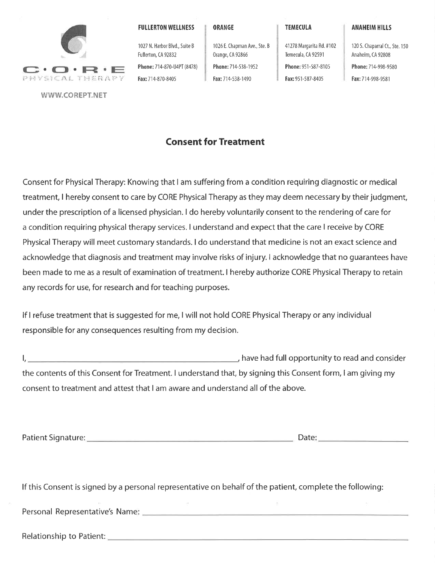

**FULLERTON WELLNESS** 

1027 N. Harbor Blvd., Suite B

Phone: 714-870-U4PT (8478)

Fullerton, CA 92832

Fax: 714-870-8405

ORANGE

Orange, CA 92866

Phone: 714-538-1952

Fax: 714-538-1490

1026 E. Chapman Ave., Ste. B

**TEMECULA** 

41278 Margarita Rd. #102 Temecula, CA 92591 Phone: 951-587-8105

Fax: 951-587-8405

120 S. Chaparral Ct., Ste. 150 Anaheim, CA 92808 Phone: 714-998-9580 Fax: 714-998-9581

**ANAHEIM HILLS** 

**Consent for Treatment** 

Consent for Physical Therapy: Knowing that I am suffering from a condition requiring diagnostic or medical treatment, I hereby consent to care by CORE Physical Therapy as they may deem necessary by their judgment, under the prescription of a licensed physician. I do hereby voluntarily consent to the rendering of care for a condition requiring physical therapy services. I understand and expect that the care I receive by CORE Physical Therapy will meet customary standards. I do understand that medicine is not an exact science and acknowledge that diagnosis and treatment may involve risks of injury. I acknowledge that no quarantees have been made to me as a result of examination of treatment. I hereby authorize CORE Physical Therapy to retain any records for use, for research and for teaching purposes.

If I refuse treatment that is suggested for me, I will not hold CORE Physical Therapy or any individual responsible for any consequences resulting from my decision.

The September of the September 2014, the Vietnam and Consider and Consider  $\mathsf{L}$ the contents of this Consent for Treatment. I understand that, by signing this Consent form, I am giving my consent to treatment and attest that I am aware and understand all of the above.

If this Consent is signed by a personal representative on behalf of the patient, complete the following:

Personal Representative's Name: 2008. [2016] Personal Representative's Name:

Relationship to Patient: Note of the Contract of the Contract of the Contract of the Contract of the Contract of the Contract of the Contract of the Contract of the Contract of the Contract of the Contract of the Contract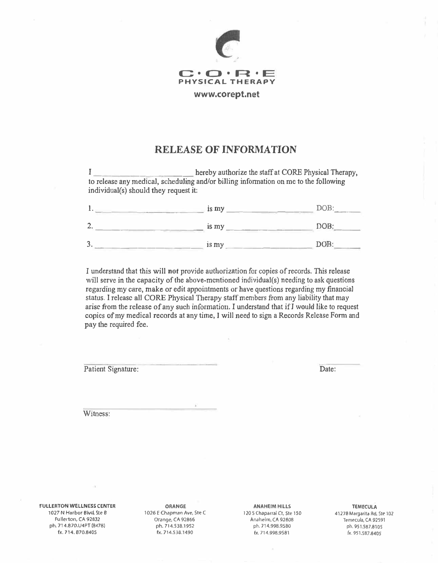

### **RELEASE OF INFORMATION**

I hereby authorize the staff at CORE Physical Therapy, to release any medical, scheduJing and/or biJling infonnation on me to the following individual(s) should they request it:

|        | is my | DOB: |
|--------|-------|------|
|        | is my | DOB: |
| я<br>ر | is my | DOB: |

I understand that this will not provide authorization for copies of records. This release will serve in the capacity of the above-mentioned individual(s) needing to ask questions regarding my care, make or edit appointments or have questions regarding my financial status. I release all CORE Physical Therapy staff members from any liability that may arise from the release of any such information. I understand that if J would like to request copies of my medical records at any time, I will need to sign a Records Release Form and **pay** the required fee.

Patient Signature:

Date:

**Witness:** 

**FULLERTON WELLNESS CENTER**  1027 N Harbor *Blvd,* Ste B Fullerton, CA 92032 ph. 714.870,U4PT (8478) fx. 714. 870.B405

**ORANGE**  1026 E Chapman Ave, Ste C Orange, CA 92866 ph. 714.538.7952 fx. 714.538.1490

**ANAHEIM HILLS**  120 5 Chaparral Ct, Ste 150 Anaheim, CA 92808 ph. 714.99B.9580 fx. 714.998,9581

**TEMECULA**  41278 Margarita Rd, Ste 102 Temecula, CA 92591 ph. 951.587.8105 fx. 951.587,8405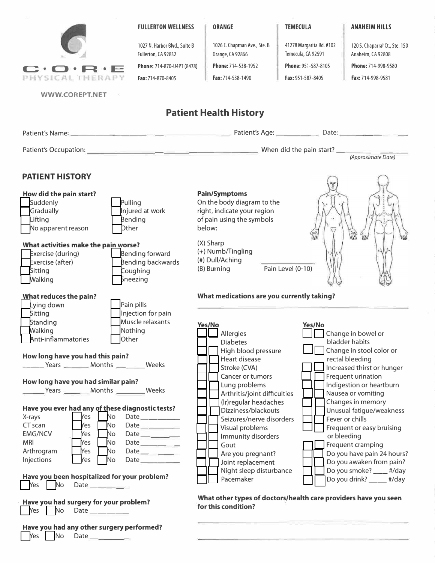

#### **FULLERTON WELLNESS**

1027 N. Harbor Blvd., Suite B Fullerton, CA 92832

**Phone:** 714-870-U4PT (8478)

Fax: 714-870-8405

#### **ORANGE**

Orange, CA 92866 **Phone:** 714-538-1952 Fax: 714-538-1490

1026 E. Chapman Ave., Ste. B

#### **TEMECULA**

41278 Margarita Rd. #102 Temecula, CA 92591 **Phone:** 951-587-8105

Fax: 951-587-8405

120 5. Chaparral Ct., Ste. 150 Anaheim, CA 92808 **Phone:** 714-998-9580 Fax: 714-998-9581

**ANAHEIM HILLS** 

**WWW.COREPT.NET** 

### **Patient Health History**

| Patient's Name:        | Patient's Age:<br>Date:  |                    |
|------------------------|--------------------------|--------------------|
| Patient's Occupation:  | When did the pain start? | (Approximate Date) |
| <b>PATIENT HISTORY</b> |                          |                    |

#### **How did the pain start? Suddenly Gradually Lifting** No apparent reason **Pulling** Injured at work Bending Dther **What activities make the pain worse?**  Exercise (during) Bending forward<br>Exercise (after) Bending backwar **Exercise (after)** Bending backwards<br>Sitting Coughing Sitting Coughing<br> **D** Coughing<br>
D Coughing

Sneezing

Pain pills Injection for pain

### **Pain/Symptoms**

On the body diagram to the right, indicate your region of pain using the symbols below:

(X) Sharp (+) Numb/Tingling (#) Dull/Aching (B) Burning Pain Level (0-10)



#### **What medications are you currently taking?**

| pitting<br><b>HIJCCUOLLIOL PUILL</b>                                                                                                                                                                                                                                                                                                                                      |                                                                                                                                                                                    |                                                                                                                                                                                                                                |
|---------------------------------------------------------------------------------------------------------------------------------------------------------------------------------------------------------------------------------------------------------------------------------------------------------------------------------------------------------------------------|------------------------------------------------------------------------------------------------------------------------------------------------------------------------------------|--------------------------------------------------------------------------------------------------------------------------------------------------------------------------------------------------------------------------------|
| Muscle relaxants<br>Standing                                                                                                                                                                                                                                                                                                                                              | Yes/No                                                                                                                                                                             | Yes/No                                                                                                                                                                                                                         |
| Nothing<br>Walking                                                                                                                                                                                                                                                                                                                                                        | Allergies                                                                                                                                                                          | Change in bowel or                                                                                                                                                                                                             |
| Anti-inflammatories<br>Other                                                                                                                                                                                                                                                                                                                                              | <b>Diabetes</b>                                                                                                                                                                    | bladder habits                                                                                                                                                                                                                 |
| How long have you had this pain?<br>Vears __________ Months __________ Weeks<br>How long have you had similar pain?                                                                                                                                                                                                                                                       | High blood pressure<br>Heart disease<br>Stroke (CVA)<br>Cancer or tumors<br>Lung problems                                                                                          | Change in stool color or<br>rectal bleeding<br>Increased thirst or hunger<br>Frequent urination<br>Indigestion or heartburn                                                                                                    |
|                                                                                                                                                                                                                                                                                                                                                                           | Arthritis/joint difficulties<br>(Ir) regular headaches                                                                                                                             | Nausea or vomiting<br>Changes in memory                                                                                                                                                                                        |
| Have you ever had any of these diagnostic tests?<br>Yes<br>  No<br>X-rays<br>Date<br>CT scan<br>No<br>Yes<br>Date __________<br><b>EMG/NCV</b><br>Yes<br>No<br>Date _________<br>No<br><b>MRI</b><br>Yes<br>Date __________<br>Arthrogram<br>No<br>Yes<br>Date _________<br>Injections<br>Yes<br>No.<br>Have you been hospitalized for your problem?<br>$Yes$ $No$ $Date$ | Dizziness/blackouts<br>Seizures/nerve disorders<br>Visual problems<br>Immunity disorders<br>Gout<br>Are you pregnant?<br>Joint replacement<br>Night sleep disturbance<br>Pacemaker | Unusual fatigue/weakness<br>Fever or chills<br>Frequent or easy bruising<br>or bleeding<br>Frequent cramping<br>Do you have pain 24 hours?<br>Do you awaken from pain?<br>Do you smoke? ____ #/day<br>Do you drink? ____ #/day |
| Have you had surgery for your problem?<br>Yes No<br>Date has a series of the series of the series of the series of the series of the series of the series of the s                                                                                                                                                                                                        | for this condition?                                                                                                                                                                | What other types of doctors/health care providers have you seen                                                                                                                                                                |
| Have you had any other surgery performed?                                                                                                                                                                                                                                                                                                                                 |                                                                                                                                                                                    |                                                                                                                                                                                                                                |

#### **Have you had** Yes | No Date

**What reduces the pain?** 

Lying down **Sitting Standing Walking**